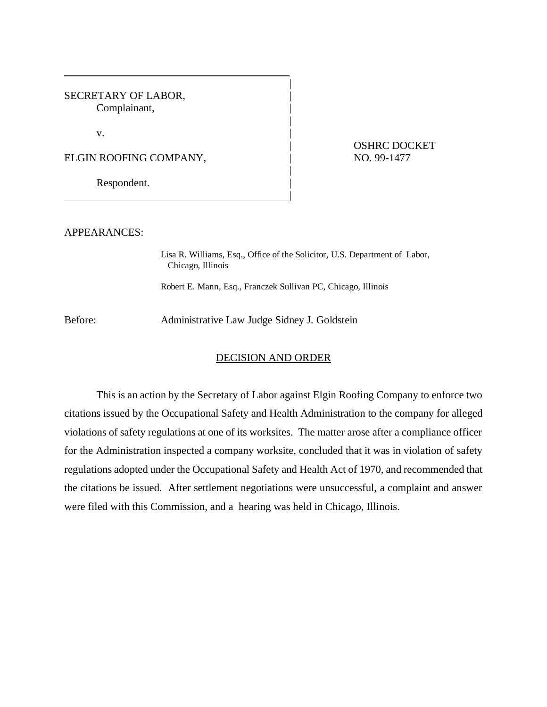SECRETARY OF LABOR, Complainant,

 $\mathbf v$ .

ELGIN ROOFING COMPANY,  $\vert$  NO. 99-1477

|

Respondent.

| OSHRC DOCKET

APPEARANCES:

Lisa R. Williams, Esq., Office of the Solicitor, U.S. Department of Labor, Chicago, Illinois

|

|

|

Robert E. Mann, Esq., Franczek Sullivan PC, Chicago, Illinois

Before: Administrative Law Judge Sidney J. Goldstein

## DECISION AND ORDER

This is an action by the Secretary of Labor against Elgin Roofing Company to enforce two citations issued by the Occupational Safety and Health Administration to the company for alleged violations of safety regulations at one of its worksites. The matter arose after a compliance officer for the Administration inspected a company worksite, concluded that it was in violation of safety regulations adopted under the Occupational Safety and Health Act of 1970, and recommended that the citations be issued. After settlement negotiations were unsuccessful, a complaint and answer were filed with this Commission, and a hearing was held in Chicago, Illinois.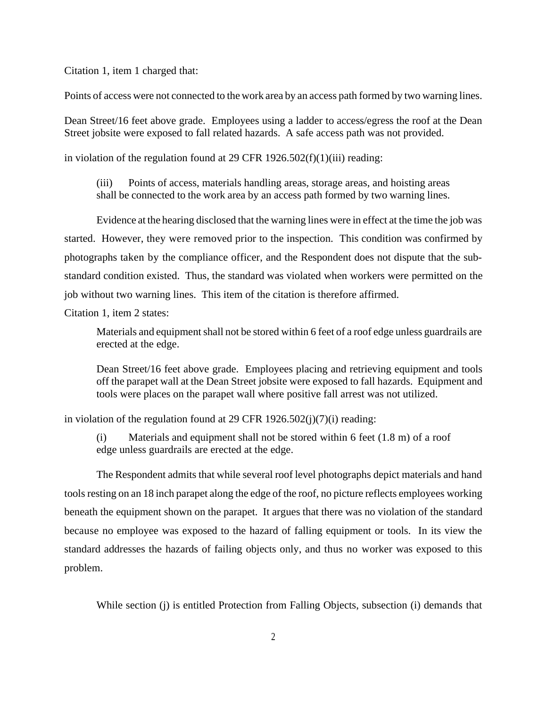Citation 1, item 1 charged that:

Points of access were not connected to the work area by an access path formed by two warning lines.

Dean Street/16 feet above grade. Employees using a ladder to access/egress the roof at the Dean Street jobsite were exposed to fall related hazards. A safe access path was not provided.

in violation of the regulation found at 29 CFR  $1926.502(f)(1)(iii)$  reading:

(iii) Points of access, materials handling areas, storage areas, and hoisting areas shall be connected to the work area by an access path formed by two warning lines.

Evidence at the hearing disclosed that the warning lines were in effect at the time the job was started. However, they were removed prior to the inspection. This condition was confirmed by photographs taken by the compliance officer, and the Respondent does not dispute that the substandard condition existed. Thus, the standard was violated when workers were permitted on the job without two warning lines. This item of the citation is therefore affirmed.

Citation 1, item 2 states:

Materials and equipment shall not be stored within 6 feet of a roof edge unless guardrails are erected at the edge.

Dean Street/16 feet above grade. Employees placing and retrieving equipment and tools off the parapet wall at the Dean Street jobsite were exposed to fall hazards. Equipment and tools were places on the parapet wall where positive fall arrest was not utilized.

in violation of the regulation found at 29 CFR  $1926.502(i)(7)(i)$  reading:

(i) Materials and equipment shall not be stored within 6 feet (1.8 m) of a roof edge unless guardrails are erected at the edge.

The Respondent admits that while several roof level photographs depict materials and hand tools resting on an 18 inch parapet along the edge of the roof, no picture reflects employees working beneath the equipment shown on the parapet. It argues that there was no violation of the standard because no employee was exposed to the hazard of falling equipment or tools. In its view the standard addresses the hazards of failing objects only, and thus no worker was exposed to this problem.

While section (j) is entitled Protection from Falling Objects, subsection (i) demands that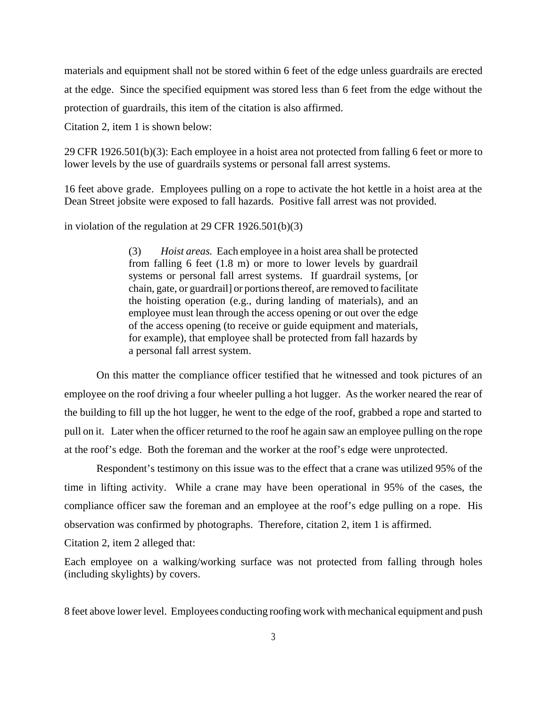materials and equipment shall not be stored within 6 feet of the edge unless guardrails are erected at the edge. Since the specified equipment was stored less than 6 feet from the edge without the protection of guardrails, this item of the citation is also affirmed.

Citation 2, item 1 is shown below:

29 CFR 1926.501(b)(3): Each employee in a hoist area not protected from falling 6 feet or more to lower levels by the use of guardrails systems or personal fall arrest systems.

16 feet above grade. Employees pulling on a rope to activate the hot kettle in a hoist area at the Dean Street jobsite were exposed to fall hazards. Positive fall arrest was not provided.

in violation of the regulation at 29 CFR 1926.501(b)(3)

(3) *Hoist areas.* Each employee in a hoist area shall be protected from falling 6 feet (1.8 m) or more to lower levels by guardrail systems or personal fall arrest systems. If guardrail systems, [or chain, gate, or guardrail] or portions thereof, are removed to facilitate the hoisting operation (e.g., during landing of materials), and an employee must lean through the access opening or out over the edge of the access opening (to receive or guide equipment and materials, for example), that employee shall be protected from fall hazards by a personal fall arrest system.

On this matter the compliance officer testified that he witnessed and took pictures of an employee on the roof driving a four wheeler pulling a hot lugger. As the worker neared the rear of the building to fill up the hot lugger, he went to the edge of the roof, grabbed a rope and started to pull on it. Later when the officer returned to the roof he again saw an employee pulling on the rope at the roof's edge. Both the foreman and the worker at the roof's edge were unprotected.

Respondent's testimony on this issue was to the effect that a crane was utilized 95% of the time in lifting activity. While a crane may have been operational in 95% of the cases, the compliance officer saw the foreman and an employee at the roof's edge pulling on a rope. His observation was confirmed by photographs. Therefore, citation 2, item 1 is affirmed.

Citation 2, item 2 alleged that:

Each employee on a walking/working surface was not protected from falling through holes (including skylights) by covers.

8 feet above lower level. Employees conducting roofing work with mechanical equipment and push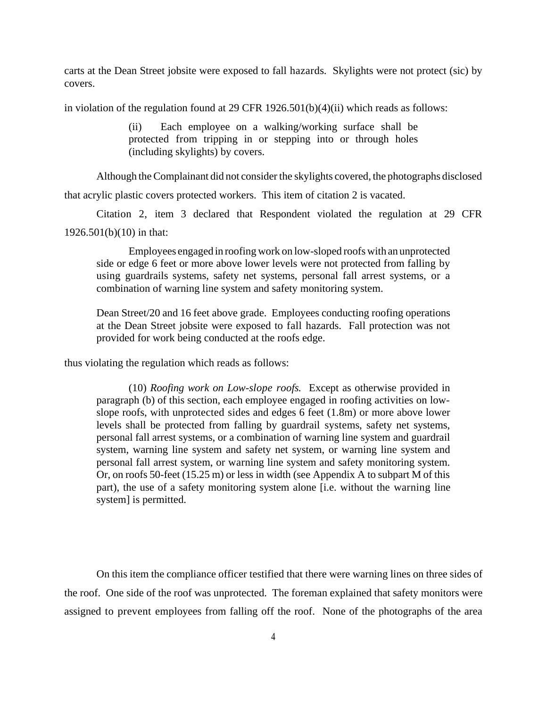carts at the Dean Street jobsite were exposed to fall hazards. Skylights were not protect (sic) by covers.

in violation of the regulation found at 29 CFR  $1926.501(b)(4)(ii)$  which reads as follows:

(ii) Each employee on a walking/working surface shall be protected from tripping in or stepping into or through holes (including skylights) by covers.

Although the Complainant did not consider the skylights covered, the photographs disclosed that acrylic plastic covers protected workers. This item of citation 2 is vacated.

Citation 2, item 3 declared that Respondent violated the regulation at 29 CFR 1926.501(b)(10) in that:

Employees engaged in roofing work on low-sloped roofs with an unprotected side or edge 6 feet or more above lower levels were not protected from falling by using guardrails systems, safety net systems, personal fall arrest systems, or a combination of warning line system and safety monitoring system.

Dean Street/20 and 16 feet above grade. Employees conducting roofing operations at the Dean Street jobsite were exposed to fall hazards. Fall protection was not provided for work being conducted at the roofs edge.

thus violating the regulation which reads as follows:

(10) *Roofing work on Low-slope roofs.* Except as otherwise provided in paragraph (b) of this section, each employee engaged in roofing activities on lowslope roofs, with unprotected sides and edges 6 feet (1.8m) or more above lower levels shall be protected from falling by guardrail systems, safety net systems, personal fall arrest systems, or a combination of warning line system and guardrail system, warning line system and safety net system, or warning line system and personal fall arrest system, or warning line system and safety monitoring system. Or, on roofs 50-feet (15.25 m) or less in width (see Appendix A to subpart M of this part), the use of a safety monitoring system alone [i.e. without the warning line system] is permitted.

On this item the compliance officer testified that there were warning lines on three sides of the roof. One side of the roof was unprotected. The foreman explained that safety monitors were assigned to prevent employees from falling off the roof. None of the photographs of the area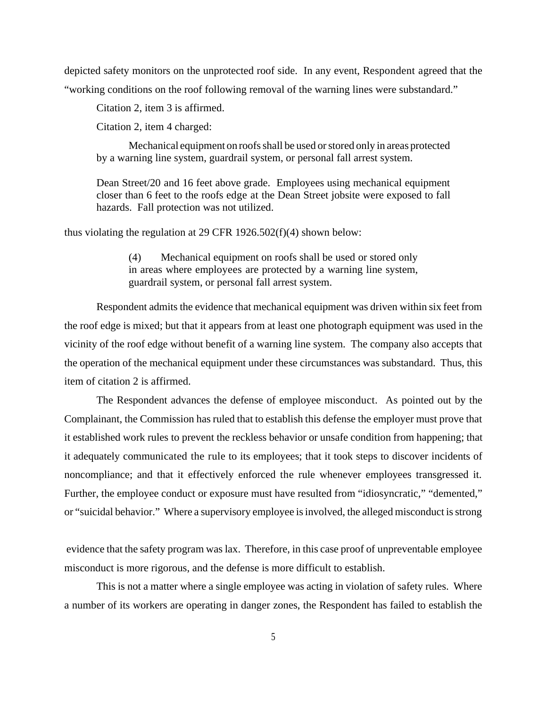depicted safety monitors on the unprotected roof side. In any event, Respondent agreed that the "working conditions on the roof following removal of the warning lines were substandard."

Citation 2, item 3 is affirmed.

Citation 2, item 4 charged:

Mechanical equipment on roofs shall be used or stored only in areas protected by a warning line system, guardrail system, or personal fall arrest system.

Dean Street/20 and 16 feet above grade. Employees using mechanical equipment closer than 6 feet to the roofs edge at the Dean Street jobsite were exposed to fall hazards. Fall protection was not utilized.

thus violating the regulation at 29 CFR 1926.502(f)(4) shown below:

(4) Mechanical equipment on roofs shall be used or stored only in areas where employees are protected by a warning line system, guardrail system, or personal fall arrest system.

Respondent admits the evidence that mechanical equipment was driven within six feet from the roof edge is mixed; but that it appears from at least one photograph equipment was used in the vicinity of the roof edge without benefit of a warning line system. The company also accepts that the operation of the mechanical equipment under these circumstances was substandard. Thus, this item of citation 2 is affirmed.

The Respondent advances the defense of employee misconduct. As pointed out by the Complainant, the Commission has ruled that to establish this defense the employer must prove that it established work rules to prevent the reckless behavior or unsafe condition from happening; that it adequately communicated the rule to its employees; that it took steps to discover incidents of noncompliance; and that it effectively enforced the rule whenever employees transgressed it. Further, the employee conduct or exposure must have resulted from "idiosyncratic," "demented," or "suicidal behavior." Where a supervisory employee is involved, the alleged misconduct is strong

 evidence that the safety program was lax. Therefore, in this case proof of unpreventable employee misconduct is more rigorous, and the defense is more difficult to establish.

This is not a matter where a single employee was acting in violation of safety rules. Where a number of its workers are operating in danger zones, the Respondent has failed to establish the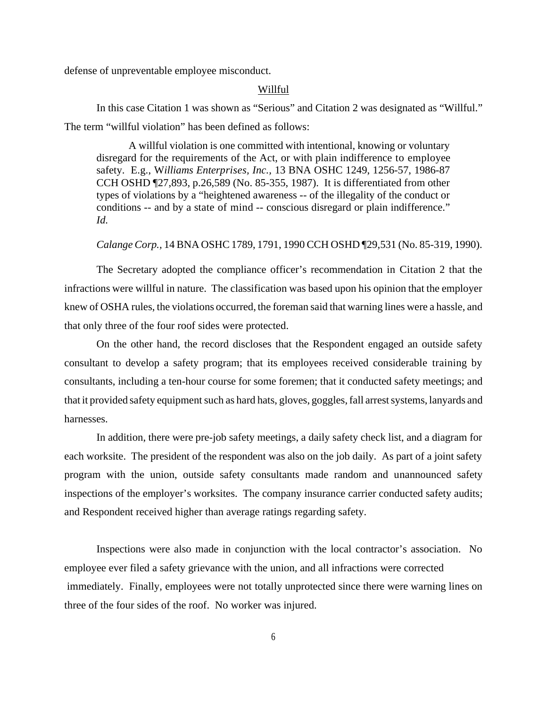defense of unpreventable employee misconduct.

## Willful

In this case Citation 1 was shown as "Serious" and Citation 2 was designated as "Willful." The term "willful violation" has been defined as follows:

A willful violation is one committed with intentional, knowing or voluntary disregard for the requirements of the Act, or with plain indifference to employee safety. E.g., W*illiams Enterprises, Inc.,* 13 BNA OSHC 1249, 1256-57, 1986-87 CCH OSHD ¶27,893, p.26,589 (No. 85-355, 1987). It is differentiated from other types of violations by a "heightened awareness -- of the illegality of the conduct or conditions -- and by a state of mind -- conscious disregard or plain indifference." *Id.*

## *Calange Corp.,* 14 BNA OSHC 1789, 1791, 1990 CCH OSHD ¶29,531 (No. 85-319, 1990).

The Secretary adopted the compliance officer's recommendation in Citation 2 that the infractions were willful in nature. The classification was based upon his opinion that the employer knew of OSHA rules, the violations occurred, the foreman said that warning lines were a hassle, and that only three of the four roof sides were protected.

On the other hand, the record discloses that the Respondent engaged an outside safety consultant to develop a safety program; that its employees received considerable training by consultants, including a ten-hour course for some foremen; that it conducted safety meetings; and that it provided safety equipment such as hard hats, gloves, goggles, fall arrest systems, lanyards and harnesses.

In addition, there were pre-job safety meetings, a daily safety check list, and a diagram for each worksite. The president of the respondent was also on the job daily. As part of a joint safety program with the union, outside safety consultants made random and unannounced safety inspections of the employer's worksites. The company insurance carrier conducted safety audits; and Respondent received higher than average ratings regarding safety.

Inspections were also made in conjunction with the local contractor's association. No employee ever filed a safety grievance with the union, and all infractions were corrected immediately. Finally, employees were not totally unprotected since there were warning lines on three of the four sides of the roof. No worker was injured.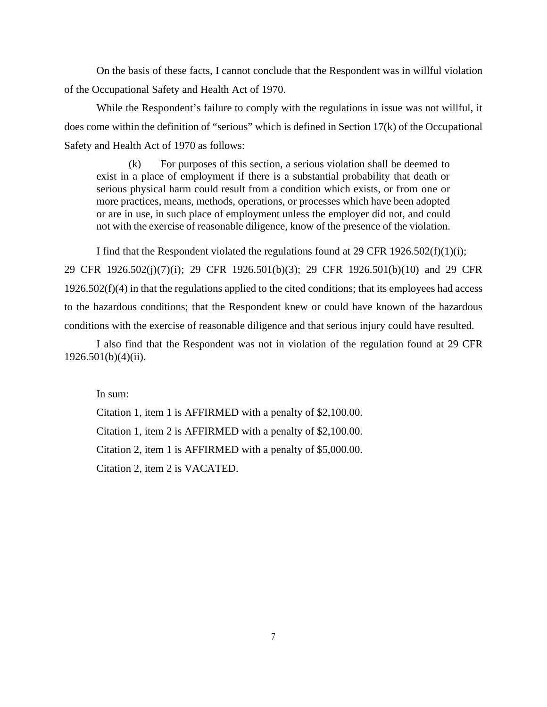On the basis of these facts, I cannot conclude that the Respondent was in willful violation of the Occupational Safety and Health Act of 1970.

While the Respondent's failure to comply with the regulations in issue was not willful, it does come within the definition of "serious" which is defined in Section 17(k) of the Occupational Safety and Health Act of 1970 as follows:

(k) For purposes of this section, a serious violation shall be deemed to exist in a place of employment if there is a substantial probability that death or serious physical harm could result from a condition which exists, or from one or more practices, means, methods, operations, or processes which have been adopted or are in use, in such place of employment unless the employer did not, and could not with the exercise of reasonable diligence, know of the presence of the violation.

I find that the Respondent violated the regulations found at 29 CFR 1926.502(f)(1)(i); 29 CFR 1926.502(j)(7)(i); 29 CFR 1926.501(b)(3); 29 CFR 1926.501(b)(10) and 29 CFR 1926.502(f)(4) in that the regulations applied to the cited conditions; that its employees had access to the hazardous conditions; that the Respondent knew or could have known of the hazardous conditions with the exercise of reasonable diligence and that serious injury could have resulted.

I also find that the Respondent was not in violation of the regulation found at 29 CFR 1926.501(b)(4)(ii).

In sum:

Citation 1, item 1 is AFFIRMED with a penalty of \$2,100.00. Citation 1, item 2 is AFFIRMED with a penalty of \$2,100.00. Citation 2, item 1 is AFFIRMED with a penalty of \$5,000.00. Citation 2, item 2 is VACATED.